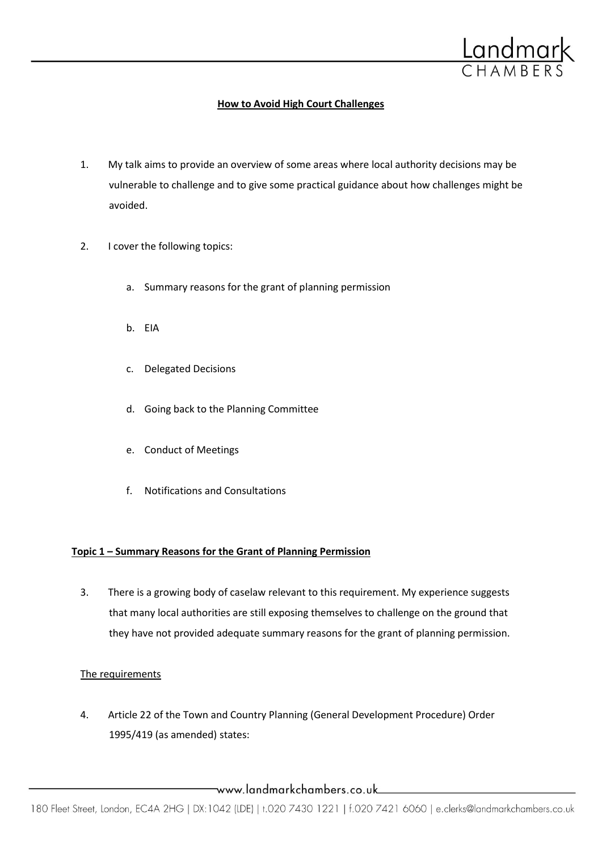

# **How to Avoid High Court Challenges**

- 1. My talk aims to provide an overview of some areas where local authority decisions may be vulnerable to challenge and to give some practical guidance about how challenges might be avoided.
- 2. I cover the following topics:
	- a. Summary reasons for the grant of planning permission
	- b. EIA
	- c. Delegated Decisions
	- d. Going back to the Planning Committee
	- e. Conduct of Meetings
	- f. Notifications and Consultations

# **Topic 1 – Summary Reasons for the Grant of Planning Permission**

3. There is a growing body of caselaw relevant to this requirement. My experience suggests that many local authorities are still exposing themselves to challenge on the ground that they have not provided adequate summary reasons for the grant of planning permission.

# The requirements

4. Article 22 of the Town and Country Planning (General Development Procedure) Order 1995/419 (as amended) states:

www.landmarkchambers.co.uk\_\_\_\_\_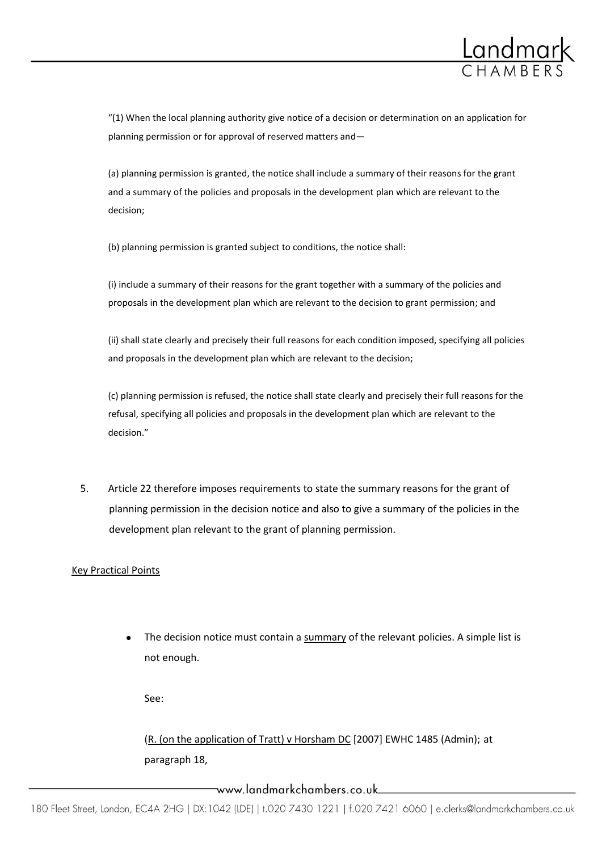

"(1) When the local planning authority give notice of a decision or determination on an application for planning permission or for approval of reserved matters and—

(a) planning permission is granted, the notice shall include a summary of their reasons for the grant and a summary of the policies and proposals in the development plan which are relevant to the decision;

(b) planning permission is granted subject to conditions, the notice shall:

(i) include a summary of their reasons for the grant together with a summary of the policies and proposals in the development plan which are relevant to the decision to grant permission; and

(ii) shall state clearly and precisely their full reasons for each condition imposed, specifying all policies and proposals in the development plan which are relevant to the decision;

(c) planning permission is refused, the notice shall state clearly and precisely their full reasons for the refusal, specifying all policies and proposals in the development plan which are relevant to the decision."

5. Article 22 therefore imposes requirements to state the summary reasons for the grant of planning permission in the decision notice and also to give a summary of the policies in the development plan relevant to the grant of planning permission.

## Key Practical Points

The decision notice must contain a summary of the relevant policies. A simple list is not enough.

See:

(R. (on the application of Tratt) v Horsham DC [2007] EWHC 1485 (Admin); at paragraph 18,

www.landmarkchambers.co.uk\_\_\_\_\_\_\_\_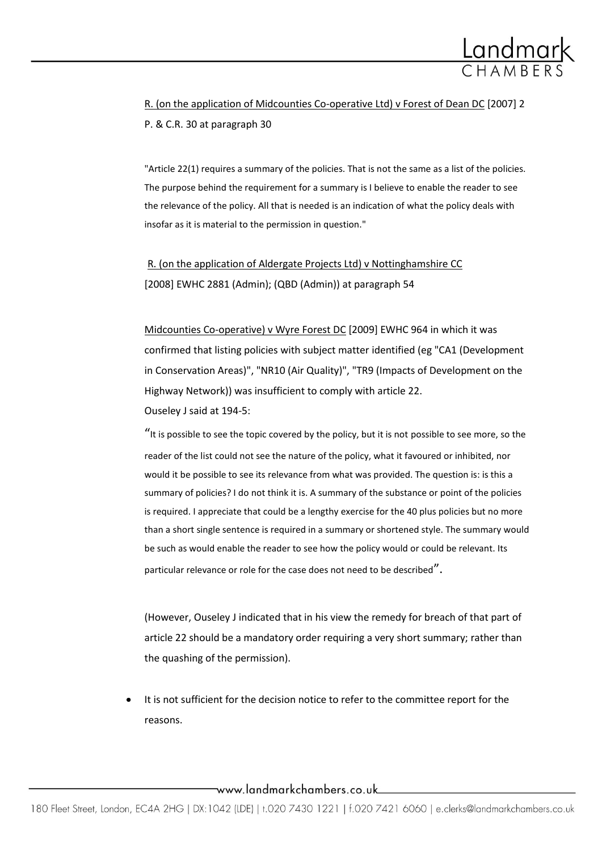

R. (on the application of Midcounties Co-operative Ltd) v Forest of Dean DC [2007] 2 P. & C.R. 30 at paragraph 30

"Article 22(1) requires a summary of the policies. That is not the same as a list of the policies. The purpose behind the requirement for a summary is I believe to enable the reader to see the relevance of the policy. All that is needed is an indication of what the policy deals with insofar as it is material to the permission in question."

R. (on the application of Aldergate Projects Ltd) v Nottinghamshire CC [\[2008\] EWHC 2881 \(Admin\); \(QBD \(Admin\)\)](http://login.westlaw.co.uk/app/document?src=doc&linktype=ref&&context=23&crumb-action=replace&docguid=I0D53D260BDCF11DD85E7B4E0F1AAA185) at paragraph 54

Midcounties Co-operative) v Wyre Forest DC [2009] EWHC 964 in which it was confirmed that listing policies with subject matter identified (eg "CA1 (Development in Conservation Areas)", "NR10 (Air Quality)", "TR9 (Impacts of Development on the Highway Network)) was insufficient to comply with article 22. Ouseley J said at 194-5:

"It is possible to see the topic covered by the policy, but it is not possible to see more, so the reader of the list could not see the nature of the policy, what it favoured or inhibited, nor would it be possible to see its relevance from what was provided. The question is: is this a summary of policies? I do not think it is. A summary of the substance or point of the policies is required. I appreciate that could be a lengthy exercise for the 40 plus policies but no more than a short single sentence is required in a summary or shortened style. The summary would be such as would enable the reader to see how the policy would or could be relevant. Its particular relevance or role for the case does not need to be described".

(However, Ouseley J indicated that in his view the remedy for breach of that part of article 22 should be a mandatory order requiring a very short summary; rather than the quashing of the permission).

It is not sufficient for the decision notice to refer to the committee report for the reasons.

www.landmarkchambers.co.uk\_\_\_\_\_\_\_\_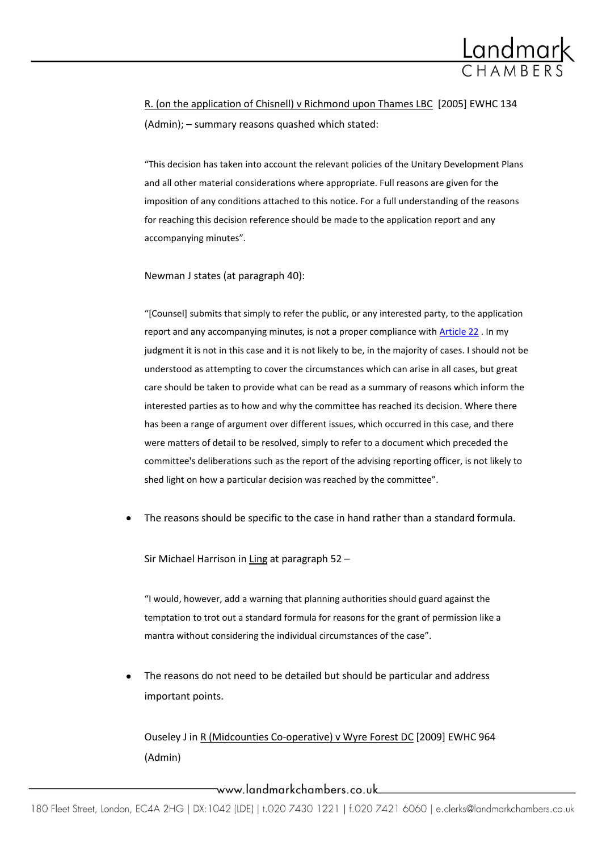

R. (on the application of Chisnell) v Richmond upon Thames LBC [2005] EWHC 134 (Admin); – summary reasons quashed which stated:

"This decision has taken into account the relevant policies of the Unitary Development Plans and all other material considerations where appropriate. Full reasons are given for the imposition of any conditions attached to this notice. For a full understanding of the reasons for reaching this decision reference should be made to the application report and any accompanying minutes".

Newman J states (at paragraph 40):

"[Counsel] submits that simply to refer the public, or any interested party, to the application report and any accompanying minutes, is not a proper compliance with [Article 22](http://login.westlaw.co.uk/app/document?src=doc&linktype=ref&&context=15&crumb-action=replace&docguid=I81C05AE0E44E11DA8D70A0E70A78ED65) . In my judgment it is not in this case and it is not likely to be, in the majority of cases. I should not be understood as attempting to cover the circumstances which can arise in all cases, but great care should be taken to provide what can be read as a summary of reasons which inform the interested parties as to how and why the committee has reached its decision. Where there has been a range of argument over different issues, which occurred in this case, and there were matters of detail to be resolved, simply to refer to a document which preceded the committee's deliberations such as the report of the advising reporting officer, is not likely to shed light on how a particular decision was reached by the committee".

The reasons should be specific to the case in hand rather than a standard formula.

Sir Michael Harrison in Ling at paragraph 52 –

"I would, however, add a warning that planning authorities should guard against the temptation to trot out a standard formula for reasons for the grant of permission like a mantra without considering the individual circumstances of the case".

The reasons do not need to be detailed but should be particular and address important points.

Ouseley J in R (Midcounties Co-operative) v Wyre Forest DC [2009] EWHC 964 (Admin)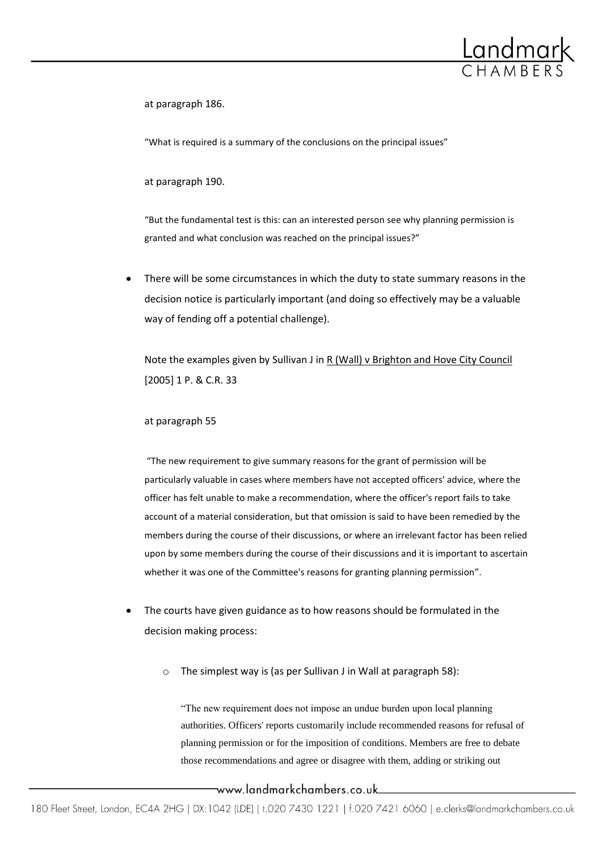

at paragraph 186.

"What is required is a summary of the conclusions on the principal issues"

at paragraph 190.

"But the fundamental test is this: can an interested person see why planning permission is granted and what conclusion was reached on the principal issues?"

There will be some circumstances in which the duty to state summary reasons in the decision notice is particularly important (and doing so effectively may be a valuable way of fending off a potential challenge).

Note the examples given by Sullivan J in R (Wall) v Brighton and Hove City Council [2005] 1 P. & C.R. 33

#### at paragraph 55

"The new requirement to give summary reasons for the grant of permission will be particularly valuable in cases where members have not accepted officers' advice, where the officer has felt unable to make a recommendation, where the officer's report fails to take account of a material consideration, but that omission is said to have been remedied by the members during the course of their discussions, or where an irrelevant factor has been relied upon by some members during the course of their discussions and it is important to ascertain whether it was one of the Committee's reasons for granting planning permission".

- The courts have given guidance as to how reasons should be formulated in the decision making process:
	- o The simplest way is (as per Sullivan J in Wall at paragraph 58):

"The new requirement does not impose an undue burden upon local planning authorities. Officers' reports customarily include recommended reasons for refusal of planning permission or for the imposition of conditions. Members are free to debate those recommendations and agree or disagree with them, adding or striking out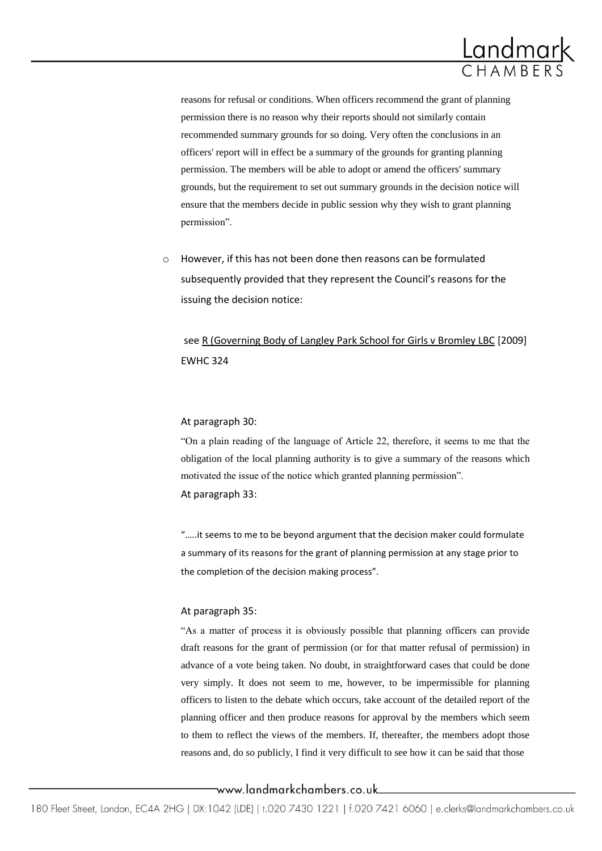

reasons for refusal or conditions. When officers recommend the grant of planning permission there is no reason why their reports should not similarly contain recommended summary grounds for so doing. Very often the conclusions in an officers' report will in effect be a summary of the grounds for granting planning permission. The members will be able to adopt or amend the officers' summary grounds, but the requirement to set out summary grounds in the decision notice will ensure that the members decide in public session why they wish to grant planning permission".

o However, if this has not been done then reasons can be formulated subsequently provided that they represent the Council's reasons for the issuing the decision notice:

see R (Governing Body of Langley Park School for Girls v Bromley LBC [2009] EWHC 324

#### At paragraph 30:

"On a plain reading of the language of Article 22, therefore, it seems to me that the obligation of the local planning authority is to give a summary of the reasons which motivated the issue of the notice which granted planning permission". At paragraph 33:

".....it seems to me to be beyond argument that the decision maker could formulate a summary of its reasons for the grant of planning permission at any stage prior to the completion of the decision making process".

#### At paragraph 35:

"As a matter of process it is obviously possible that planning officers can provide draft reasons for the grant of permission (or for that matter refusal of permission) in advance of a vote being taken. No doubt, in straightforward cases that could be done very simply. It does not seem to me, however, to be impermissible for planning officers to listen to the debate which occurs, take account of the detailed report of the planning officer and then produce reasons for approval by the members which seem to them to reflect the views of the members. If, thereafter, the members adopt those reasons and, do so publicly, I find it very difficult to see how it can be said that those

www.landmarkchambers.co.uk\_\_\_\_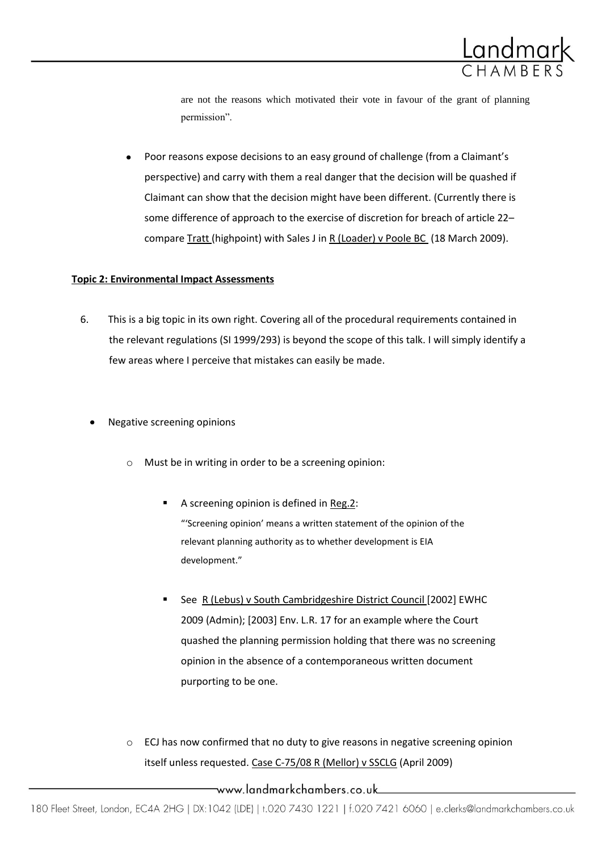

are not the reasons which motivated their vote in favour of the grant of planning permission".

Poor reasons expose decisions to an easy ground of challenge (from a Claimant's perspective) and carry with them a real danger that the decision will be quashed if Claimant can show that the decision might have been different. (Currently there is some difference of approach to the exercise of discretion for breach of article 22– compare Tratt (highpoint) with Sales J in R (Loader) v Poole BC (18 March 2009).

## **Topic 2: Environmental Impact Assessments**

- 6. This is a big topic in its own right. Covering all of the procedural requirements contained in the relevant regulations (SI 1999/293) is beyond the scope of this talk. I will simply identify a few areas where I perceive that mistakes can easily be made.
	- Negative screening opinions
		- o Must be in writing in order to be a screening opinion:
			- A screening opinion is defined i[n Reg.2:](http://login.westlaw.co.uk/app/document?src=doc&linktype=ref&&context=4&crumb-action=replace&docguid=I9A2A7001E45011DA8D70A0E70A78ED65) "'Screening opinion' means a written statement of the opinion of the relevant planning authority as to whether development is EIA development."
			- See R (Lebus) v South Cambridgeshire District Council [2002] EWHC 2009 (Admin); [2003] Env. L.R. 17 for an example where the Court quashed the planning permission holding that there was no screening opinion in the absence of a contemporaneous written document purporting to be one.
		- $\circ$  ECJ has now confirmed that no duty to give reasons in negative screening opinion itself unless requested. Case C-75/08 R (Mellor) v SSCLG (April 2009)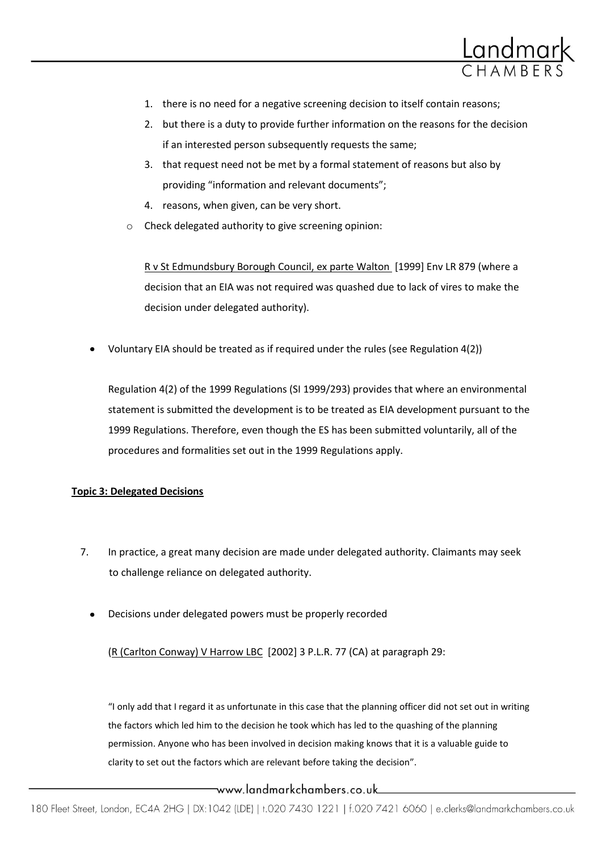

- 1. there is no need for a negative screening decision to itself contain reasons;
- 2. but there is a duty to provide further information on the reasons for the decision if an interested person subsequently requests the same;
- 3. that request need not be met by a formal statement of reasons but also by providing "information and relevant documents";
- 4. reasons, when given, can be very short.
- Check delegated authority to give screening opinion:

R v St Edmundsbury Borough Council, ex parte Walton [1999] Env LR 879 (where a decision that an EIA was not required was quashed due to lack of vires to make the decision under delegated authority).

Voluntary EIA should be treated as if required under the rules (see Regulation 4(2))

Regulation 4(2) of the 1999 Regulations (SI 1999/293) provides that where an environmental statement is submitted the development is to be treated as EIA development pursuant to the 1999 Regulations. Therefore, even though the ES has been submitted voluntarily, all of the procedures and formalities set out in the 1999 Regulations apply.

#### **Topic 3: Delegated Decisions**

- 7. In practice, a great many decision are made under delegated authority. Claimants may seek to challenge reliance on delegated authority.
	- Decisions under delegated powers must be properly recorded

(R (Carlton Conway) V Harrow LBC [2002] 3 P.L.R. 77 (CA) at paragraph 29:

"I only add that I regard it as unfortunate in this case that the planning officer did not set out in writing the factors which led him to the decision he took which has led to the quashing of the planning permission. Anyone who has been involved in decision making knows that it is a valuable guide to clarity to set out the factors which are relevant before taking the decision".

## \_www.landmarkchambers.co.uk\_\_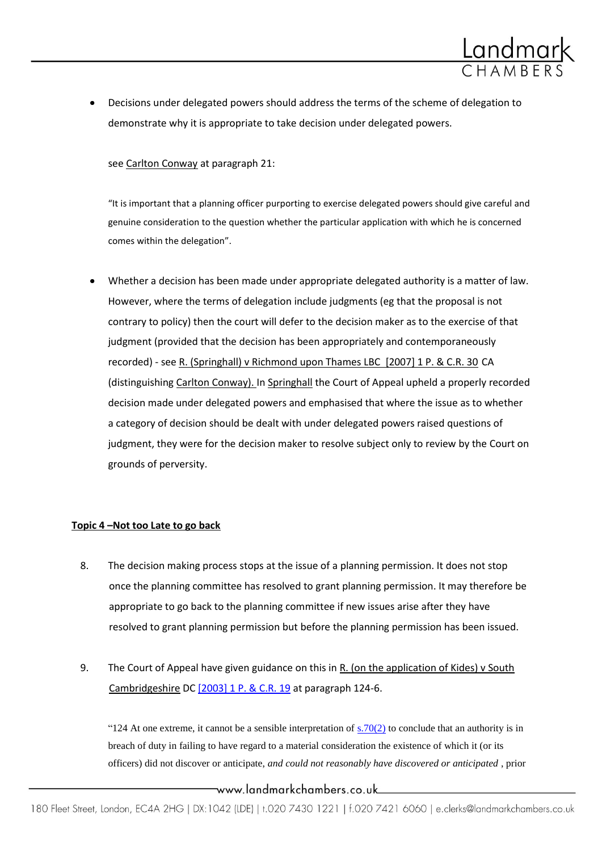

Decisions under delegated powers should address the terms of the scheme of delegation to demonstrate why it is appropriate to take decision under delegated powers.

see Carlton Conway at paragraph 21:

"It is important that a planning officer purporting to exercise delegated powers should give careful and genuine consideration to the question whether the particular application with which he is concerned comes within the delegation".

Whether a decision has been made under appropriate delegated authority is a matter of law. However, where the terms of delegation include judgments (eg that the proposal is not contrary to policy) then the court will defer to the decision maker as to the exercise of that judgment (provided that the decision has been appropriately and contemporaneously recorded) - see R. (Springhall) v Richmond upon Thames LBC [2007] 1 P. & C.R. 30 CA (distinguishing Carlton Conway). In Springhall the Court of Appeal upheld a properly recorded decision made under delegated powers and emphasised that where the issue as to whether a category of decision should be dealt with under delegated powers raised questions of judgment, they were for the decision maker to resolve subject only to review by the Court on grounds of perversity.

#### **Topic 4 –Not too Late to go back**

- 8. The decision making process stops at the issue of a planning permission. It does not stop once the planning committee has resolved to grant planning permission. It may therefore be appropriate to go back to the planning committee if new issues arise after they have resolved to grant planning permission but before the planning permission has been issued.
- 9. The Court of Appeal have given guidance on this in R. (on the application of Kides) v South Cambridgeshire DC [\[2003\] 1 P. & C.R.](http://login.westlaw.co.uk/app/document?&src=rl&suppsrguid=ia744dc220000012120b7ba02e22013a4&docguid=I79FA1BF0E42811DA8FC2A0F0355337E9&hitguid=I79F9F4E0E42811DA8FC2A0F0355337E9&spos=1&epos=1&td=2&crumb-action=append&context=17) 19 at paragraph 124-6.

"124 At one extreme, it cannot be a sensible interpretation of  $s.70(2)$  to conclude that an authority is in breach of duty in failing to have regard to a material consideration the existence of which it (or its officers) did not discover or anticipate, *and could not reasonably have discovered or anticipated* , prior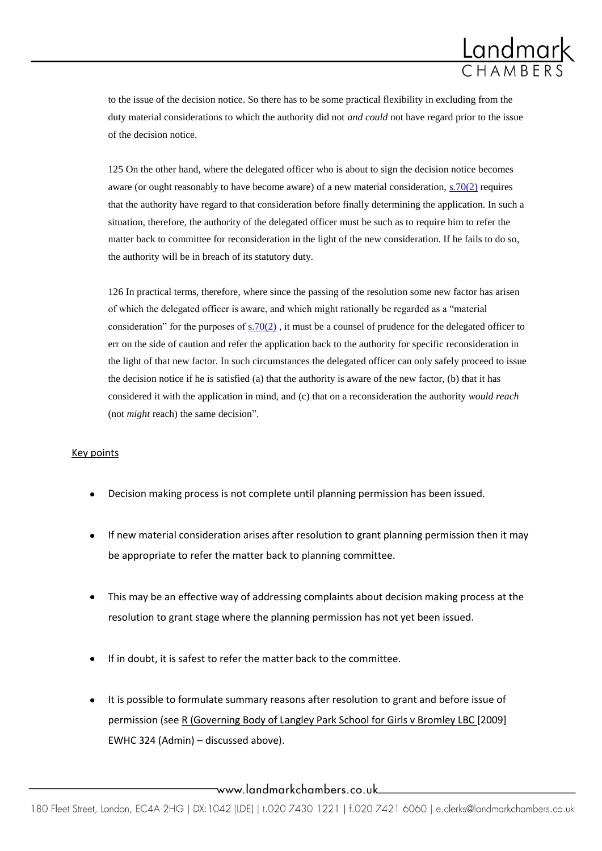

to the issue of the decision notice. So there has to be some practical flexibility in excluding from the duty material considerations to which the authority did not *and could* not have regard prior to the issue of the decision notice.

125 On the other hand, where the delegated officer who is about to sign the decision notice becomes aware (or ought reasonably to have become aware) of a new material consideration, [s.70\(2\)](http://login.westlaw.co.uk/app/document?src=doc&linktype=ref&&context=4&crumb-action=replace&docguid=I113C8FC0E44C11DA8D70A0E70A78ED65) requires that the authority have regard to that consideration before finally determining the application. In such a situation, therefore, the authority of the delegated officer must be such as to require him to refer the matter back to committee for reconsideration in the light of the new consideration. If he fails to do so, the authority will be in breach of its statutory duty.

126 In practical terms, therefore, where since the passing of the resolution some new factor has arisen of which the delegated officer is aware, and which might rationally be regarded as a "material consideration" for the purposes of  $s.70(2)$ , it must be a counsel of prudence for the delegated officer to err on the side of caution and refer the application back to the authority for specific reconsideration in the light of that new factor. In such circumstances the delegated officer can only safely proceed to issue the decision notice if he is satisfied (a) that the authority is aware of the new factor, (b) that it has considered it with the application in mind, and (c) that on a reconsideration the authority *would reach* (not *might* reach) the same decision".

#### Key points

- Decision making process is not complete until planning permission has been issued.
- If new material consideration arises after resolution to grant planning permission then it may be appropriate to refer the matter back to planning committee.
- This may be an effective way of addressing complaints about decision making process at the resolution to grant stage where the planning permission has not yet been issued.
- If in doubt, it is safest to refer the matter back to the committee.
- It is possible to formulate summary reasons after resolution to grant and before issue of permission (see R (Governing Body of Langley Park School for Girls v Bromley LBC [2009] EWHC 324 (Admin) – discussed above).

www.landmarkchambers.co.uk\_\_\_\_\_\_\_\_\_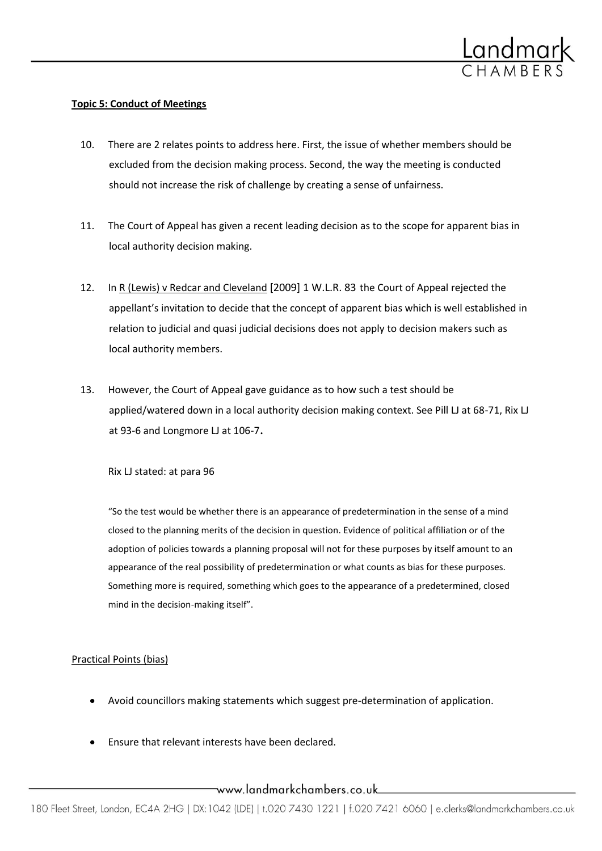

#### **Topic 5: Conduct of Meetings**

- 10. There are 2 relates points to address here. First, the issue of whether members should be excluded from the decision making process. Second, the way the meeting is conducted should not increase the risk of challenge by creating a sense of unfairness.
- 11. The Court of Appeal has given a recent leading decision as to the scope for apparent bias in local authority decision making.
- 12. In R (Lewis) v Redcar and Cleveland [2009] 1 W.L.R. 83 the Court of Appeal rejected the appellant's invitation to decide that the concept of apparent bias which is well established in relation to judicial and quasi judicial decisions does not apply to decision makers such as local authority members.
- 13. However, the Court of Appeal gave guidance as to how such a test should be applied/watered down in a local authority decision making context. See Pill LJ at 68-71, Rix LJ at 93-6 and Longmore LJ at 106-7.

Rix LJ stated: at para 96

"So the test would be whether there is an appearance of predetermination in the sense of a mind closed to the planning merits of the decision in question. Evidence of political affiliation or of the adoption of policies towards a planning proposal will not for these purposes by itself amount to an appearance of the real possibility of predetermination or what counts as bias for these purposes. Something more is required, something which goes to the appearance of a predetermined, closed mind in the decision-making itself".

#### Practical Points (bias)

- Avoid councillors making statements which suggest pre-determination of application.
- Ensure that relevant interests have been declared.

www.landmarkchambers.co.uk\_\_\_\_\_\_\_\_\_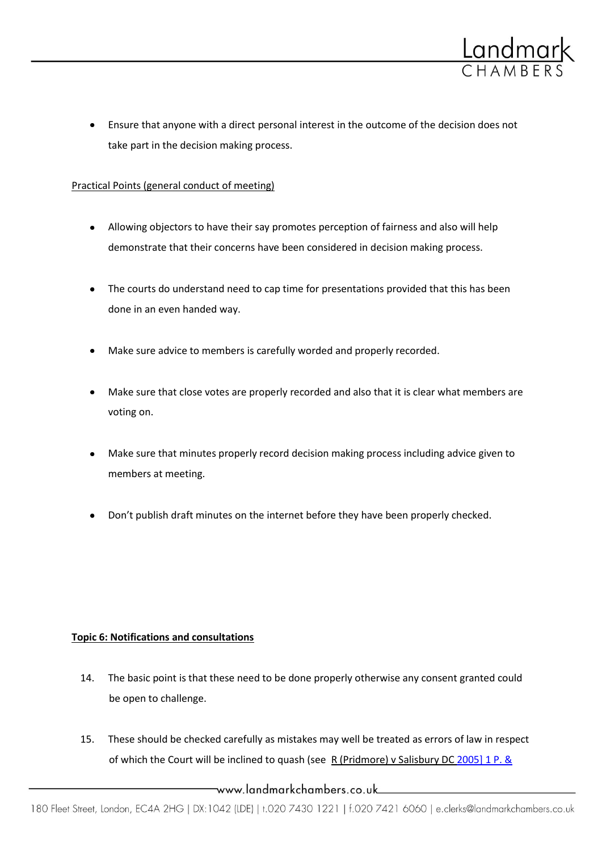

Ensure that anyone with a direct personal interest in the outcome of the decision does not take part in the decision making process.

## Practical Points (general conduct of meeting)

- Allowing objectors to have their say promotes perception of fairness and also will help demonstrate that their concerns have been considered in decision making process.
- The courts do understand need to cap time for presentations provided that this has been done in an even handed way.
- Make sure advice to members is carefully worded and properly recorded.
- Make sure that close votes are properly recorded and also that it is clear what members are  $\bullet$ voting on.
- Make sure that minutes properly record decision making process including advice given to members at meeting.
- Don't publish draft minutes on the internet before they have been properly checked.

## **Topic 6: Notifications and consultations**

- 14. The basic point is that these need to be done properly otherwise any consent granted could be open to challenge.
- 15. These should be checked carefully as mistakes may well be treated as errors of law in respect of which the Court will be inclined to quash (see R (Pridmore) v Salisbury DC 2005] 1 P. &